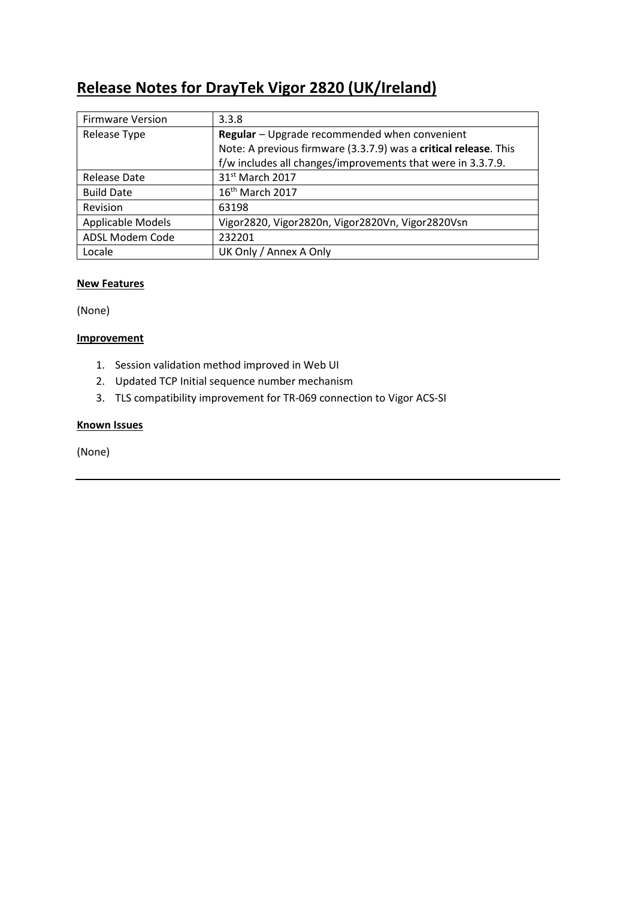# **Release Notes for DrayTek Vigor 2820 (UK/Ireland)**

| <b>Firmware Version</b> | 3.3.8                                                            |
|-------------------------|------------------------------------------------------------------|
| Release Type            | Regular - Upgrade recommended when convenient                    |
|                         | Note: A previous firmware (3.3.7.9) was a critical release. This |
|                         | f/w includes all changes/improvements that were in 3.3.7.9.      |
| Release Date            | 31 <sup>st</sup> March 2017                                      |
| <b>Build Date</b>       | 16 <sup>th</sup> March 2017                                      |
| Revision                | 63198                                                            |
| Applicable Models       | Vigor2820, Vigor2820n, Vigor2820Vn, Vigor2820Vsn                 |
| ADSL Modem Code         | 232201                                                           |
| Locale                  | UK Only / Annex A Only                                           |

# **New Features**

(None)

# **Improvement**

- 1. Session validation method improved in Web UI
- 2. Updated TCP Initial sequence number mechanism
- 3. TLS compatibility improvement for TR-069 connection to Vigor ACS-SI

# **Known Issues**

(None)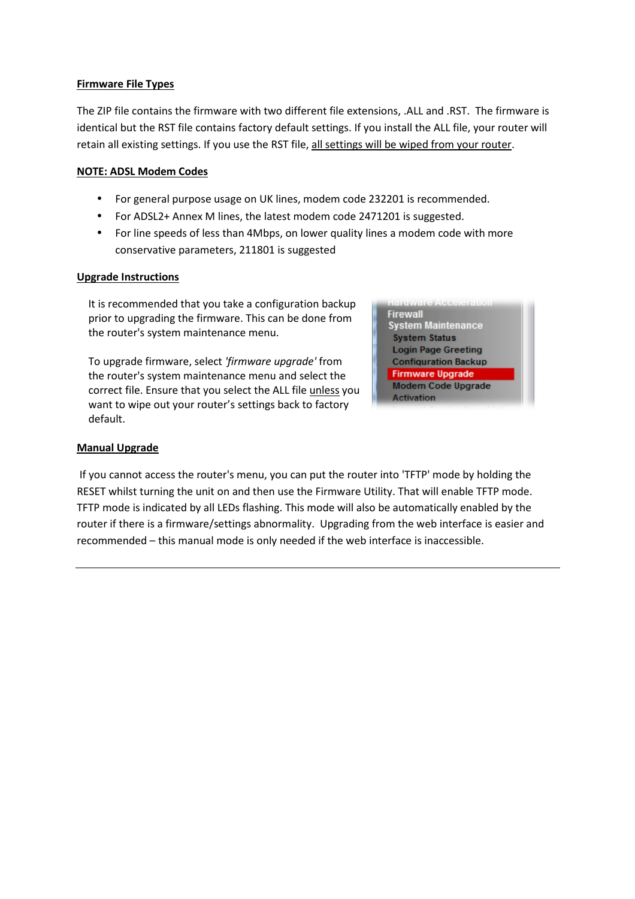# **Firmware File Types**

The ZIP file contains the firmware with two different file extensions, .ALL and .RST. The firmware is identical but the RST file contains factory default settings. If you install the ALL file, your router will retain all existing settings. If you use the RST file, all settings will be wiped from your router.

# **NOTE: ADSL Modem Codes**

- For general purpose usage on UK lines, modem code 232201 is recommended.
- For ADSL2+ Annex M lines, the latest modem code 2471201 is suggested.
- For line speeds of less than 4Mbps, on lower quality lines a modem code with more conservative parameters, 211801 is suggested

# **Upgrade Instructions**

It is recommended that you take a configuration backup prior to upgrading the firmware. This can be done from the router's system maintenance menu.

To upgrade firmware, select *'firmware upgrade'* from the router's system maintenance menu and select the correct file. Ensure that you select the ALL file unless you want to wipe out your router's settings back to factory default.

**Firewall System Maintenance System Status Login Page Greeting Configuration Backup Firmware Upgrade** Modem Code Upgrade **Activation** 

# **Manual Upgrade**

 If you cannot access the router's menu, you can put the router into 'TFTP' mode by holding the RESET whilst turning the unit on and then use the Firmware Utility. That will enable TFTP mode. TFTP mode is indicated by all LEDs flashing. This mode will also be automatically enabled by the router if there is a firmware/settings abnormality. Upgrading from the web interface is easier and recommended – this manual mode is only needed if the web interface is inaccessible.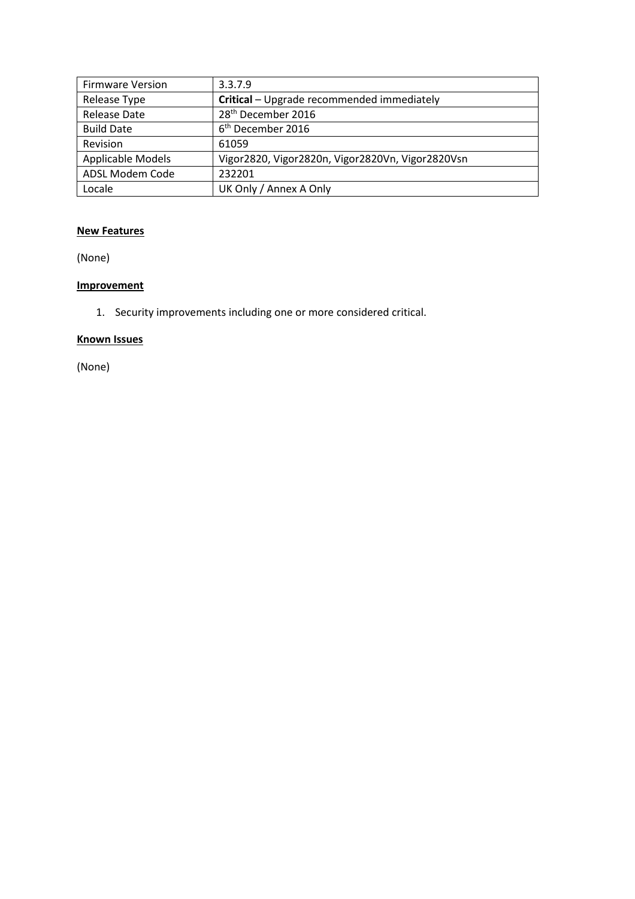| <b>Firmware Version</b> | 3.3.7.9                                          |
|-------------------------|--------------------------------------------------|
| Release Type            | Critical - Upgrade recommended immediately       |
| <b>Release Date</b>     | 28 <sup>th</sup> December 2016                   |
| <b>Build Date</b>       | 6 <sup>th</sup> December 2016                    |
| Revision                | 61059                                            |
| Applicable Models       | Vigor2820, Vigor2820n, Vigor2820Vn, Vigor2820Vsn |
| ADSL Modem Code         | 232201                                           |
| Locale                  | UK Only / Annex A Only                           |

(None)

# **Improvement**

1. Security improvements including one or more considered critical.

# **Known Issues**

(None)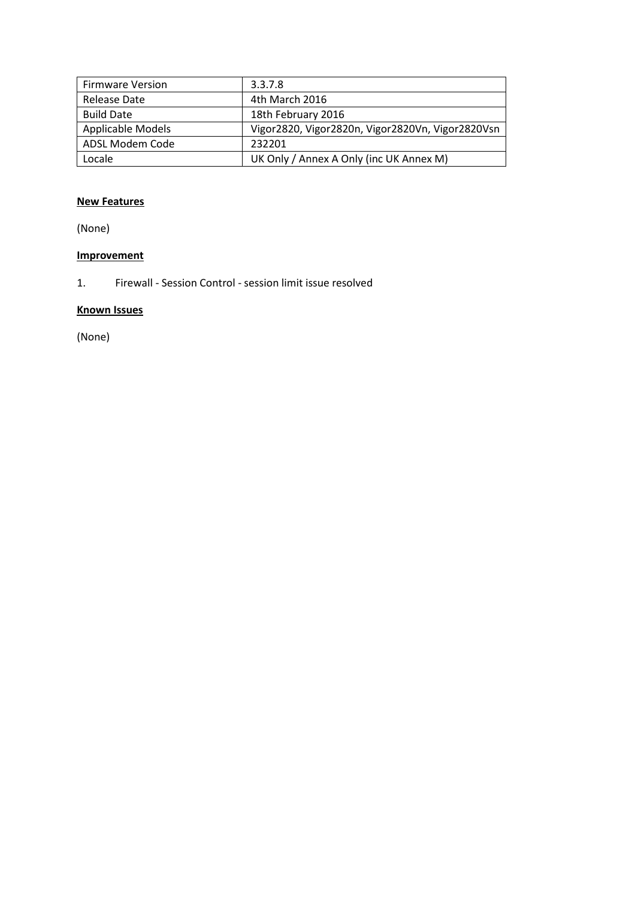| <b>Firmware Version</b>  | 3.3.7.8                                          |
|--------------------------|--------------------------------------------------|
| Release Date             | 4th March 2016                                   |
| <b>Build Date</b>        | 18th February 2016                               |
| <b>Applicable Models</b> | Vigor2820, Vigor2820n, Vigor2820Vn, Vigor2820Vsn |
| ADSL Modem Code          | 232201                                           |
| Locale                   | UK Only / Annex A Only (inc UK Annex M)          |

(None)

# **Improvement**

1. Firewall - Session Control - session limit issue resolved

# **Known Issues**

(None)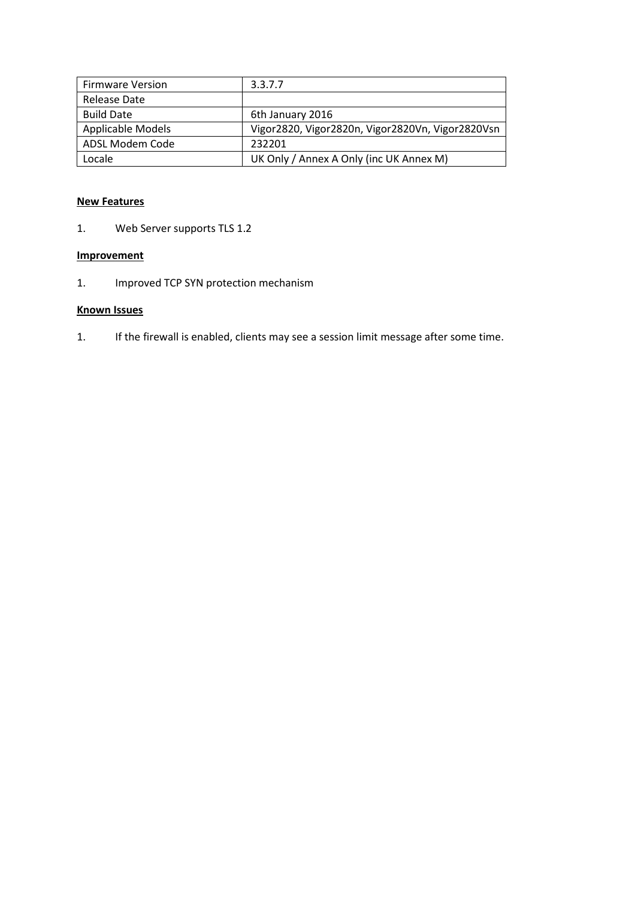| <b>Firmware Version</b>  | 3.3.7.7                                          |
|--------------------------|--------------------------------------------------|
| Release Date             |                                                  |
| <b>Build Date</b>        | 6th January 2016                                 |
| <b>Applicable Models</b> | Vigor2820, Vigor2820n, Vigor2820Vn, Vigor2820Vsn |
| ADSL Modem Code          | 232201                                           |
| Locale                   | UK Only / Annex A Only (inc UK Annex M)          |

1. Web Server supports TLS 1.2

# **Improvement**

1. Improved TCP SYN protection mechanism

# **Known Issues**

1. If the firewall is enabled, clients may see a session limit message after some time.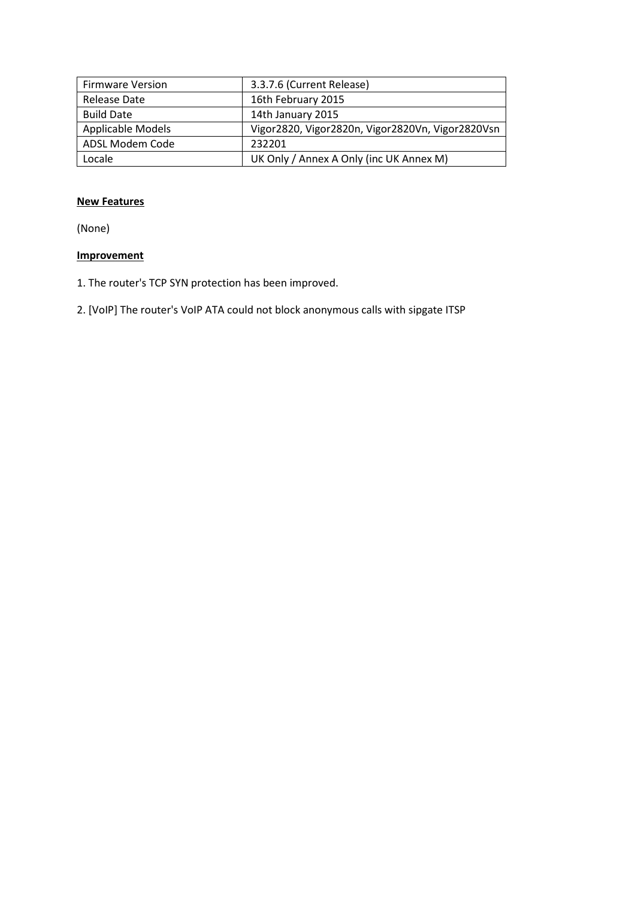| <b>Firmware Version</b> | 3.3.7.6 (Current Release)                        |
|-------------------------|--------------------------------------------------|
| Release Date            | 16th February 2015                               |
| <b>Build Date</b>       | 14th January 2015                                |
| Applicable Models       | Vigor2820, Vigor2820n, Vigor2820Vn, Vigor2820Vsn |
| ADSL Modem Code         | 232201                                           |
| Locale                  | UK Only / Annex A Only (inc UK Annex M)          |

(None)

- 1. The router's TCP SYN protection has been improved.
- 2. [VoIP] The router's VoIP ATA could not block anonymous calls with sipgate ITSP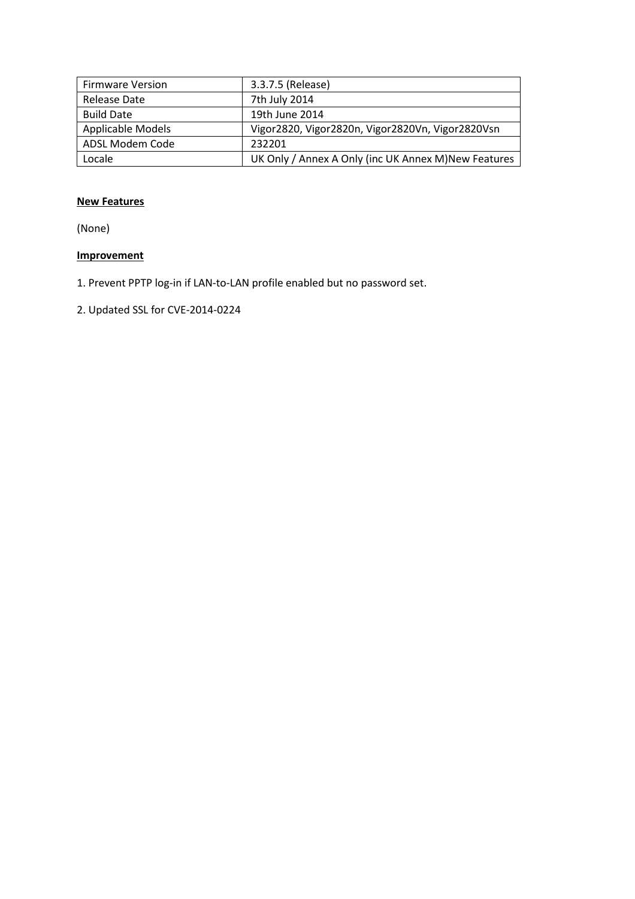| <b>Firmware Version</b>  | 3.3.7.5 (Release)                                    |
|--------------------------|------------------------------------------------------|
| Release Date             | 7th July 2014                                        |
| <b>Build Date</b>        | 19th June 2014                                       |
| <b>Applicable Models</b> | Vigor2820, Vigor2820n, Vigor2820Vn, Vigor2820Vsn     |
| ADSL Modem Code          | 232201                                               |
| Locale                   | UK Only / Annex A Only (inc UK Annex M) New Features |

(None)

- 1. Prevent PPTP log-in if LAN-to-LAN profile enabled but no password set.
- 2. Updated SSL for CVE-2014-0224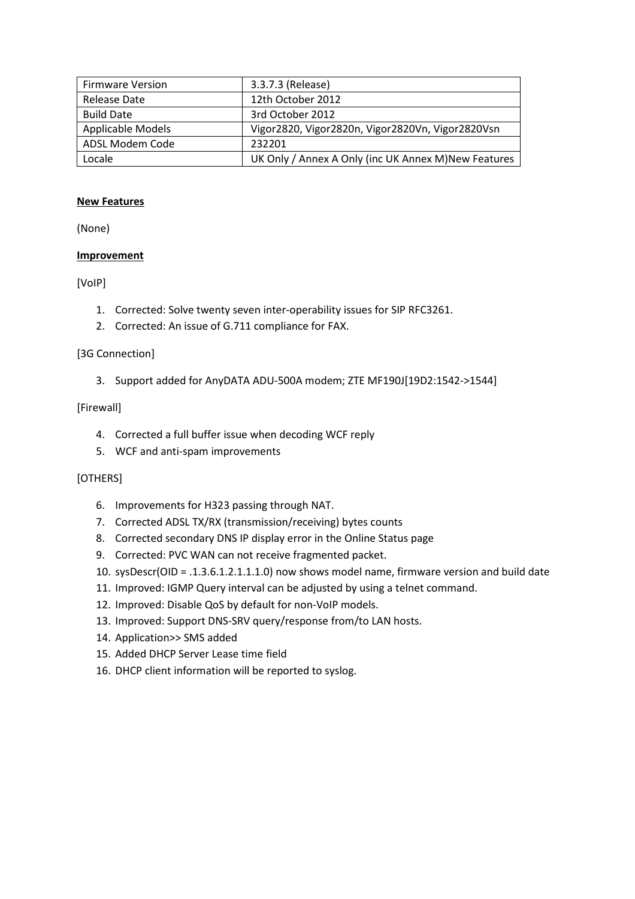| <b>Firmware Version</b>  | 3.3.7.3 (Release)                                    |
|--------------------------|------------------------------------------------------|
| Release Date             | 12th October 2012                                    |
| <b>Build Date</b>        | 3rd October 2012                                     |
| <b>Applicable Models</b> | Vigor2820, Vigor2820n, Vigor2820Vn, Vigor2820Vsn     |
| ADSL Modem Code          | 232201                                               |
| Locale                   | UK Only / Annex A Only (inc UK Annex M) New Features |

(None)

# **Improvement**

# [VoIP]

- 1. Corrected: Solve twenty seven inter-operability issues for SIP RFC3261.
- 2. Corrected: An issue of G.711 compliance for FAX.

# [3G Connection]

3. Support added for AnyDATA ADU-500A modem; ZTE MF190J[19D2:1542->1544]

#### [Firewall]

- 4. Corrected a full buffer issue when decoding WCF reply
- 5. WCF and anti-spam improvements

# [OTHERS]

- 6. Improvements for H323 passing through NAT.
- 7. Corrected ADSL TX/RX (transmission/receiving) bytes counts
- 8. Corrected secondary DNS IP display error in the Online Status page
- 9. Corrected: PVC WAN can not receive fragmented packet.
- 10. sysDescr(OID = .1.3.6.1.2.1.1.1.0) now shows model name, firmware version and build date
- 11. Improved: IGMP Query interval can be adjusted by using a telnet command.
- 12. Improved: Disable QoS by default for non-VoIP models.
- 13. Improved: Support DNS-SRV query/response from/to LAN hosts.
- 14. Application>> SMS added
- 15. Added DHCP Server Lease time field
- 16. DHCP client information will be reported to syslog.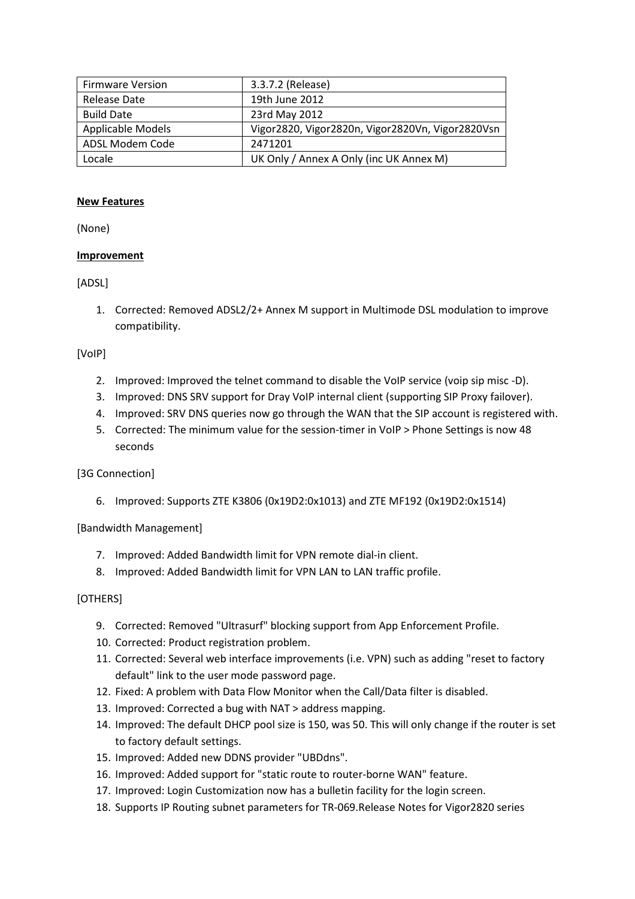| <b>Firmware Version</b>  | 3.3.7.2 (Release)                                |
|--------------------------|--------------------------------------------------|
| Release Date             | 19th June 2012                                   |
| <b>Build Date</b>        | 23rd May 2012                                    |
| <b>Applicable Models</b> | Vigor2820, Vigor2820n, Vigor2820Vn, Vigor2820Vsn |
| ADSL Modem Code          | 2471201                                          |
| Locale                   | UK Only / Annex A Only (inc UK Annex M)          |

(None)

# **Improvement**

#### [ADSL]

1. Corrected: Removed ADSL2/2+ Annex M support in Multimode DSL modulation to improve compatibility.

#### [VoIP]

- 2. Improved: Improved the telnet command to disable the VoIP service (voip sip misc -D).
- 3. Improved: DNS SRV support for Dray VoIP internal client (supporting SIP Proxy failover).
- 4. Improved: SRV DNS queries now go through the WAN that the SIP account is registered with.
- 5. Corrected: The minimum value for the session-timer in VoIP > Phone Settings is now 48 seconds

# [3G Connection]

6. Improved: Supports ZTE K3806 (0x19D2:0x1013) and ZTE MF192 (0x19D2:0x1514)

[Bandwidth Management]

- 7. Improved: Added Bandwidth limit for VPN remote dial-in client.
- 8. Improved: Added Bandwidth limit for VPN LAN to LAN traffic profile.

# [OTHERS]

- 9. Corrected: Removed "Ultrasurf" blocking support from App Enforcement Profile.
- 10. Corrected: Product registration problem.
- 11. Corrected: Several web interface improvements (i.e. VPN) such as adding "reset to factory default" link to the user mode password page.
- 12. Fixed: A problem with Data Flow Monitor when the Call/Data filter is disabled.
- 13. Improved: Corrected a bug with NAT > address mapping.
- 14. Improved: The default DHCP pool size is 150, was 50. This will only change if the router is set to factory default settings.
- 15. Improved: Added new DDNS provider "UBDdns".
- 16. Improved: Added support for "static route to router-borne WAN" feature.
- 17. Improved: Login Customization now has a bulletin facility for the login screen.
- 18. Supports IP Routing subnet parameters for TR-069.Release Notes for Vigor2820 series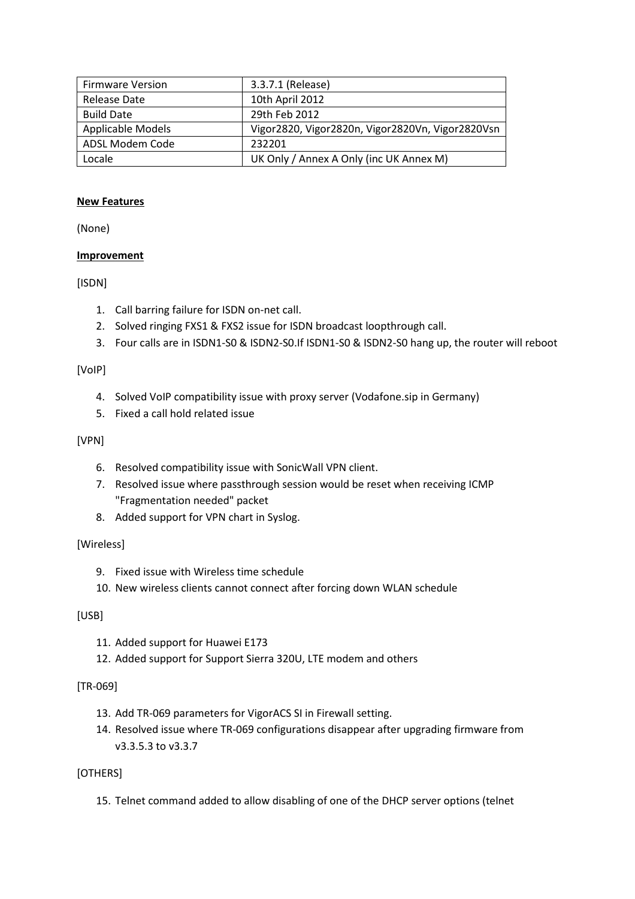| <b>Firmware Version</b>  | 3.3.7.1 (Release)                                |
|--------------------------|--------------------------------------------------|
| Release Date             | 10th April 2012                                  |
| <b>Build Date</b>        | 29th Feb 2012                                    |
| <b>Applicable Models</b> | Vigor2820, Vigor2820n, Vigor2820Vn, Vigor2820Vsn |
| ADSL Modem Code          | 232201                                           |
| Locale                   | UK Only / Annex A Only (inc UK Annex M)          |

(None)

# **Improvement**

#### [ISDN]

- 1. Call barring failure for ISDN on-net call.
- 2. Solved ringing FXS1 & FXS2 issue for ISDN broadcast loopthrough call.
- 3. Four calls are in ISDN1-S0 & ISDN2-S0.If ISDN1-S0 & ISDN2-S0 hang up, the router will reboot

#### [VoIP]

- 4. Solved VoIP compatibility issue with proxy server (Vodafone.sip in Germany)
- 5. Fixed a call hold related issue

#### [VPN]

- 6. Resolved compatibility issue with SonicWall VPN client.
- 7. Resolved issue where passthrough session would be reset when receiving ICMP "Fragmentation needed" packet
- 8. Added support for VPN chart in Syslog.

# [Wireless]

- 9. Fixed issue with Wireless time schedule
- 10. New wireless clients cannot connect after forcing down WLAN schedule

# [USB]

- 11. Added support for Huawei E173
- 12. Added support for Support Sierra 320U, LTE modem and others

# [TR-069]

- 13. Add TR-069 parameters for VigorACS SI in Firewall setting.
- 14. Resolved issue where TR-069 configurations disappear after upgrading firmware from v3.3.5.3 to v3.3.7

# [OTHERS]

15. Telnet command added to allow disabling of one of the DHCP server options (telnet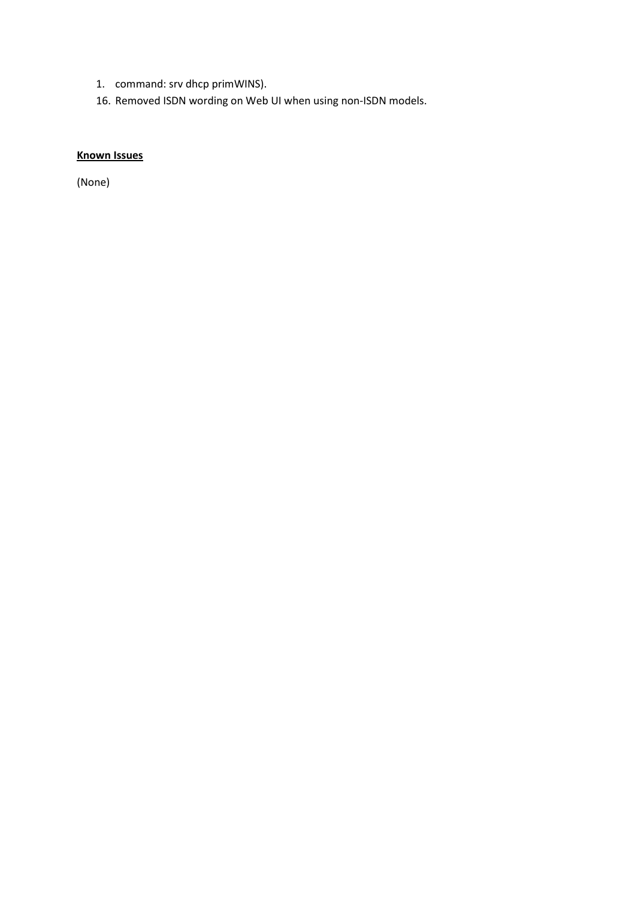- 1. command: srv dhcp primWINS).
- 16. Removed ISDN wording on Web UI when using non-ISDN models.

# **Known Issues**

(None)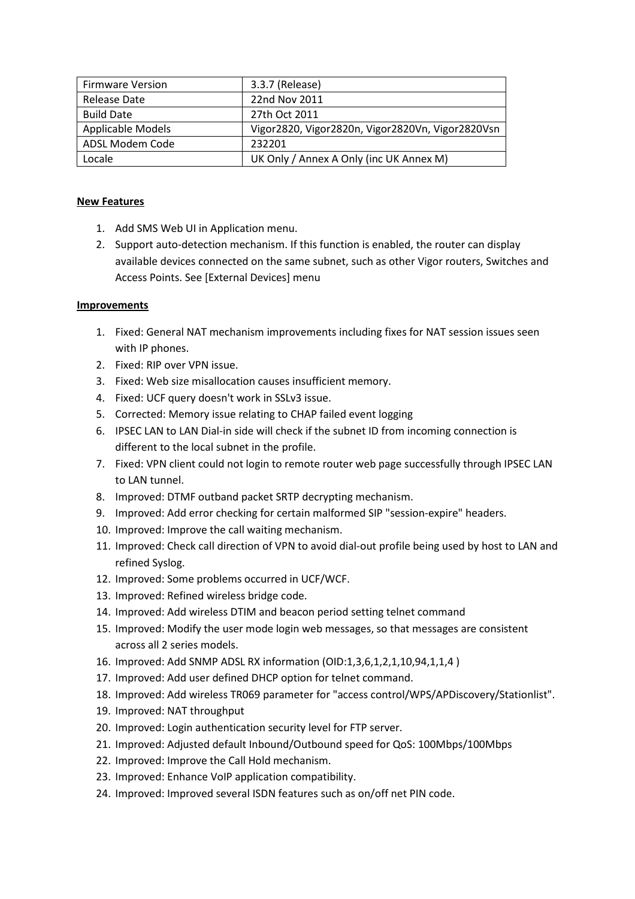| <b>Firmware Version</b> | 3.3.7 (Release)                                  |
|-------------------------|--------------------------------------------------|
| Release Date            | 22nd Nov 2011                                    |
| <b>Build Date</b>       | 27th Oct 2011                                    |
| Applicable Models       | Vigor2820, Vigor2820n, Vigor2820Vn, Vigor2820Vsn |
| ADSL Modem Code         | 232201                                           |
| Locale                  | UK Only / Annex A Only (inc UK Annex M)          |

- 1. Add SMS Web UI in Application menu.
- 2. Support auto-detection mechanism. If this function is enabled, the router can display available devices connected on the same subnet, such as other Vigor routers, Switches and Access Points. See [External Devices] menu

- 1. Fixed: General NAT mechanism improvements including fixes for NAT session issues seen with IP phones.
- 2. Fixed: RIP over VPN issue.
- 3. Fixed: Web size misallocation causes insufficient memory.
- 4. Fixed: UCF query doesn't work in SSLv3 issue.
- 5. Corrected: Memory issue relating to CHAP failed event logging
- 6. IPSEC LAN to LAN Dial-in side will check if the subnet ID from incoming connection is different to the local subnet in the profile.
- 7. Fixed: VPN client could not login to remote router web page successfully through IPSEC LAN to LAN tunnel.
- 8. Improved: DTMF outband packet SRTP decrypting mechanism.
- 9. Improved: Add error checking for certain malformed SIP "session-expire" headers.
- 10. Improved: Improve the call waiting mechanism.
- 11. Improved: Check call direction of VPN to avoid dial-out profile being used by host to LAN and refined Syslog.
- 12. Improved: Some problems occurred in UCF/WCF.
- 13. Improved: Refined wireless bridge code.
- 14. Improved: Add wireless DTIM and beacon period setting telnet command
- 15. Improved: Modify the user mode login web messages, so that messages are consistent across all 2 series models.
- 16. Improved: Add SNMP ADSL RX information (OID:1,3,6,1,2,1,10,94,1,1,4 )
- 17. Improved: Add user defined DHCP option for telnet command.
- 18. Improved: Add wireless TR069 parameter for "access control/WPS/APDiscovery/Stationlist".
- 19. Improved: NAT throughput
- 20. Improved: Login authentication security level for FTP server.
- 21. Improved: Adjusted default Inbound/Outbound speed for QoS: 100Mbps/100Mbps
- 22. Improved: Improve the Call Hold mechanism.
- 23. Improved: Enhance VoIP application compatibility.
- 24. Improved: Improved several ISDN features such as on/off net PIN code.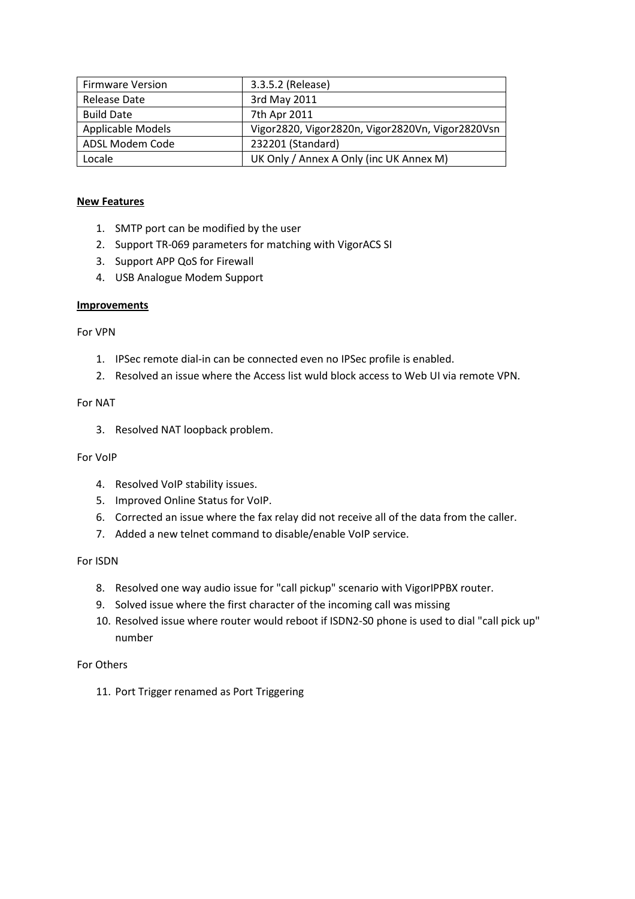| <b>Firmware Version</b> | 3.3.5.2 (Release)                                |
|-------------------------|--------------------------------------------------|
| Release Date            | 3rd May 2011                                     |
| <b>Build Date</b>       | 7th Apr 2011                                     |
| Applicable Models       | Vigor2820, Vigor2820n, Vigor2820Vn, Vigor2820Vsn |
| ADSL Modem Code         | 232201 (Standard)                                |
| Locale                  | UK Only / Annex A Only (inc UK Annex M)          |

- 1. SMTP port can be modified by the user
- 2. Support TR-069 parameters for matching with VigorACS SI
- 3. Support APP QoS for Firewall
- 4. USB Analogue Modem Support

#### **Improvements**

For VPN

- 1. IPSec remote dial-in can be connected even no IPSec profile is enabled.
- 2. Resolved an issue where the Access list wuld block access to Web UI via remote VPN.

#### For NAT

3. Resolved NAT loopback problem.

# For VoIP

- 4. Resolved VoIP stability issues.
- 5. Improved Online Status for VoIP.
- 6. Corrected an issue where the fax relay did not receive all of the data from the caller.
- 7. Added a new telnet command to disable/enable VoIP service.

# For ISDN

- 8. Resolved one way audio issue for "call pickup" scenario with VigorIPPBX router.
- 9. Solved issue where the first character of the incoming call was missing
- 10. Resolved issue where router would reboot if ISDN2-S0 phone is used to dial "call pick up" number

For Others

11. Port Trigger renamed as Port Triggering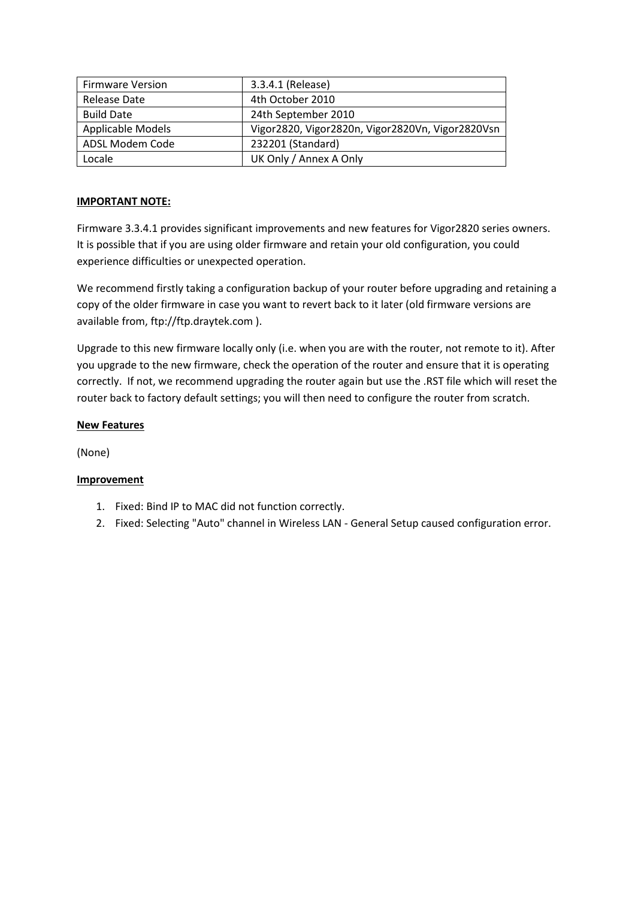| <b>Firmware Version</b> | 3.3.4.1 (Release)                                |
|-------------------------|--------------------------------------------------|
| Release Date            | 4th October 2010                                 |
| <b>Build Date</b>       | 24th September 2010                              |
| Applicable Models       | Vigor2820, Vigor2820n, Vigor2820Vn, Vigor2820Vsn |
| ADSL Modem Code         | 232201 (Standard)                                |
| Locale                  | UK Only / Annex A Only                           |

# **IMPORTANT NOTE:**

Firmware 3.3.4.1 provides significant improvements and new features for Vigor2820 series owners. It is possible that if you are using older firmware and retain your old configuration, you could experience difficulties or unexpected operation.

We recommend firstly taking a configuration backup of your router before upgrading and retaining a copy of the older firmware in case you want to revert back to it later (old firmware versions are available from, ftp://ftp.draytek.com ).

Upgrade to this new firmware locally only (i.e. when you are with the router, not remote to it). After you upgrade to the new firmware, check the operation of the router and ensure that it is operating correctly. If not, we recommend upgrading the router again but use the .RST file which will reset the router back to factory default settings; you will then need to configure the router from scratch.

# **New Features**

(None)

- 1. Fixed: Bind IP to MAC did not function correctly.
- 2. Fixed: Selecting "Auto" channel in Wireless LAN General Setup caused configuration error.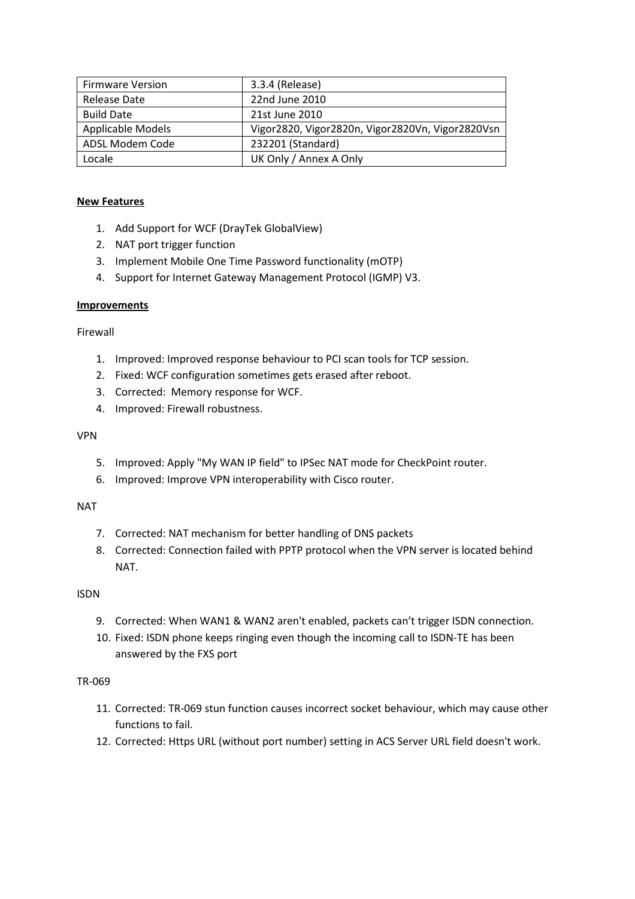| <b>Firmware Version</b> | 3.3.4 (Release)                                  |
|-------------------------|--------------------------------------------------|
| Release Date            | 22nd June 2010                                   |
| <b>Build Date</b>       | 21st June 2010                                   |
| Applicable Models       | Vigor2820, Vigor2820n, Vigor2820Vn, Vigor2820Vsn |
| ADSL Modem Code         | 232201 (Standard)                                |
| Locale                  | UK Only / Annex A Only                           |

- 1. Add Support for WCF (DrayTek GlobalView)
- 2. NAT port trigger function
- 3. Implement Mobile One Time Password functionality (mOTP)
- 4. Support for Internet Gateway Management Protocol (IGMP) V3.

# **Improvements**

Firewall

- 1. Improved: Improved response behaviour to PCI scan tools for TCP session.
- 2. Fixed: WCF configuration sometimes gets erased after reboot.
- 3. Corrected: Memory response for WCF.
- 4. Improved: Firewall robustness.

# VPN

- 5. Improved: Apply "My WAN IP field" to IPSec NAT mode for CheckPoint router.
- 6. Improved: Improve VPN interoperability with Cisco router.

# NAT

- 7. Corrected: NAT mechanism for better handling of DNS packets
- 8. Corrected: Connection failed with PPTP protocol when the VPN server is located behind NAT.

# ISDN

- 9. Corrected: When WAN1 & WAN2 aren't enabled, packets can't trigger ISDN connection.
- 10. Fixed: ISDN phone keeps ringing even though the incoming call to ISDN-TE has been answered by the FXS port

# TR-069

- 11. Corrected: TR-069 stun function causes incorrect socket behaviour, which may cause other functions to fail.
- 12. Corrected: Https URL (without port number) setting in ACS Server URL field doesn't work.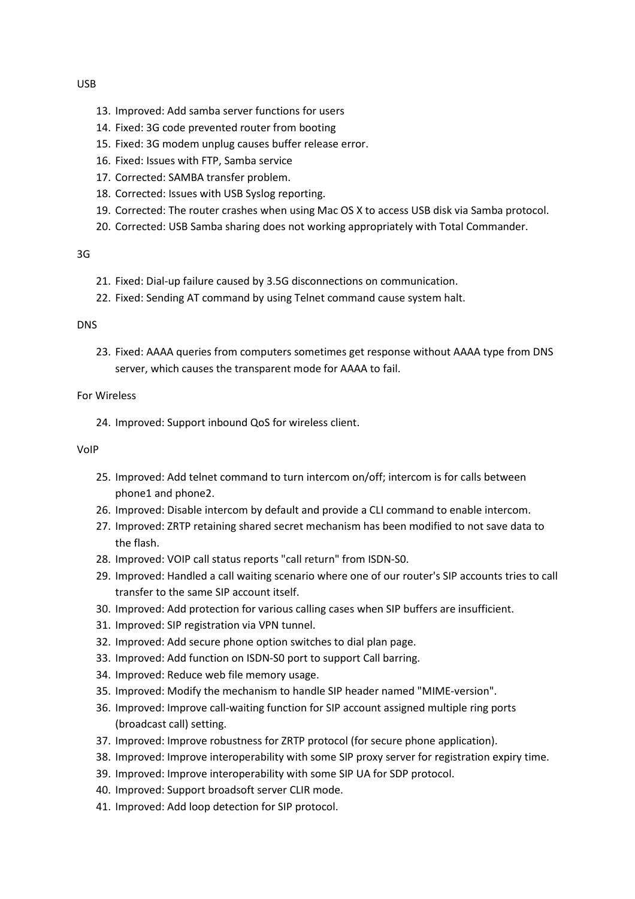#### USB

- 13. Improved: Add samba server functions for users
- 14. Fixed: 3G code prevented router from booting
- 15. Fixed: 3G modem unplug causes buffer release error.
- 16. Fixed: Issues with FTP, Samba service
- 17. Corrected: SAMBA transfer problem.
- 18. Corrected: Issues with USB Syslog reporting.
- 19. Corrected: The router crashes when using Mac OS X to access USB disk via Samba protocol.
- 20. Corrected: USB Samba sharing does not working appropriately with Total Commander.

# 3G

- 21. Fixed: Dial-up failure caused by 3.5G disconnections on communication.
- 22. Fixed: Sending AT command by using Telnet command cause system halt.

# DNS

23. Fixed: AAAA queries from computers sometimes get response without AAAA type from DNS server, which causes the transparent mode for AAAA to fail.

# For Wireless

24. Improved: Support inbound QoS for wireless client.

#### VoIP

- 25. Improved: Add telnet command to turn intercom on/off; intercom is for calls between phone1 and phone2.
- 26. Improved: Disable intercom by default and provide a CLI command to enable intercom.
- 27. Improved: ZRTP retaining shared secret mechanism has been modified to not save data to the flash.
- 28. Improved: VOIP call status reports "call return" from ISDN-S0.
- 29. Improved: Handled a call waiting scenario where one of our router's SIP accounts tries to call transfer to the same SIP account itself.
- 30. Improved: Add protection for various calling cases when SIP buffers are insufficient.
- 31. Improved: SIP registration via VPN tunnel.
- 32. Improved: Add secure phone option switches to dial plan page.
- 33. Improved: Add function on ISDN-S0 port to support Call barring.
- 34. Improved: Reduce web file memory usage.
- 35. Improved: Modify the mechanism to handle SIP header named "MIME-version".
- 36. Improved: Improve call-waiting function for SIP account assigned multiple ring ports (broadcast call) setting.
- 37. Improved: Improve robustness for ZRTP protocol (for secure phone application).
- 38. Improved: Improve interoperability with some SIP proxy server for registration expiry time.
- 39. Improved: Improve interoperability with some SIP UA for SDP protocol.
- 40. Improved: Support broadsoft server CLIR mode.
- 41. Improved: Add loop detection for SIP protocol.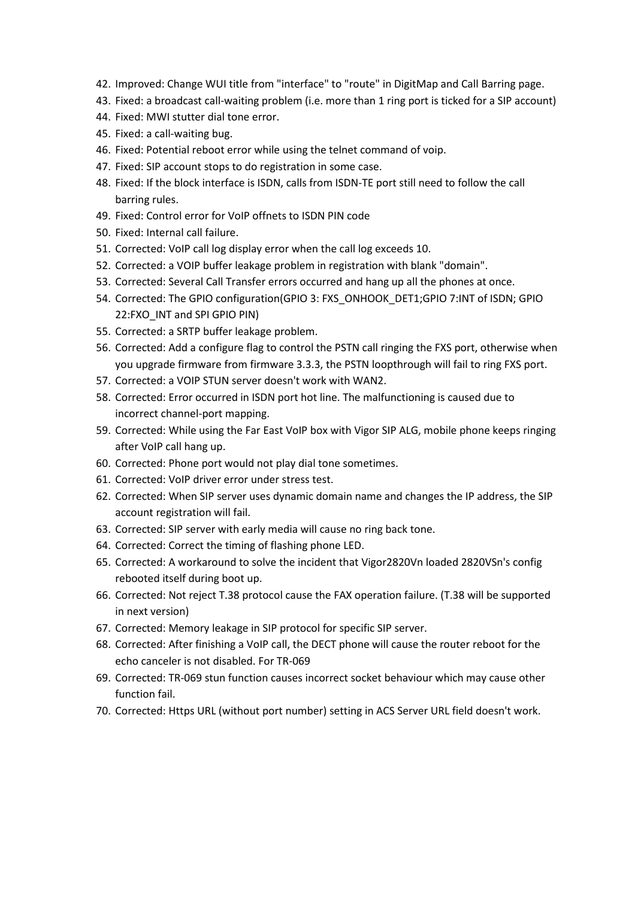- 42. Improved: Change WUI title from "interface" to "route" in DigitMap and Call Barring page.
- 43. Fixed: a broadcast call-waiting problem (i.e. more than 1 ring port is ticked for a SIP account)
- 44. Fixed: MWI stutter dial tone error.
- 45. Fixed: a call-waiting bug.
- 46. Fixed: Potential reboot error while using the telnet command of voip.
- 47. Fixed: SIP account stops to do registration in some case.
- 48. Fixed: If the block interface is ISDN, calls from ISDN-TE port still need to follow the call barring rules.
- 49. Fixed: Control error for VoIP offnets to ISDN PIN code
- 50. Fixed: Internal call failure.
- 51. Corrected: VoIP call log display error when the call log exceeds 10.
- 52. Corrected: a VOIP buffer leakage problem in registration with blank "domain".
- 53. Corrected: Several Call Transfer errors occurred and hang up all the phones at once.
- 54. Corrected: The GPIO configuration(GPIO 3: FXS\_ONHOOK\_DET1;GPIO 7:INT of ISDN; GPIO 22:FXO\_INT and SPI GPIO PIN)
- 55. Corrected: a SRTP buffer leakage problem.
- 56. Corrected: Add a configure flag to control the PSTN call ringing the FXS port, otherwise when you upgrade firmware from firmware 3.3.3, the PSTN loopthrough will fail to ring FXS port.
- 57. Corrected: a VOIP STUN server doesn't work with WAN2.
- 58. Corrected: Error occurred in ISDN port hot line. The malfunctioning is caused due to incorrect channel-port mapping.
- 59. Corrected: While using the Far East VoIP box with Vigor SIP ALG, mobile phone keeps ringing after VoIP call hang up.
- 60. Corrected: Phone port would not play dial tone sometimes.
- 61. Corrected: VoIP driver error under stress test.
- 62. Corrected: When SIP server uses dynamic domain name and changes the IP address, the SIP account registration will fail.
- 63. Corrected: SIP server with early media will cause no ring back tone.
- 64. Corrected: Correct the timing of flashing phone LED.
- 65. Corrected: A workaround to solve the incident that Vigor2820Vn loaded 2820VSn's config rebooted itself during boot up.
- 66. Corrected: Not reject T.38 protocol cause the FAX operation failure. (T.38 will be supported in next version)
- 67. Corrected: Memory leakage in SIP protocol for specific SIP server.
- 68. Corrected: After finishing a VoIP call, the DECT phone will cause the router reboot for the echo canceler is not disabled. For TR-069
- 69. Corrected: TR-069 stun function causes incorrect socket behaviour which may cause other function fail.
- 70. Corrected: Https URL (without port number) setting in ACS Server URL field doesn't work.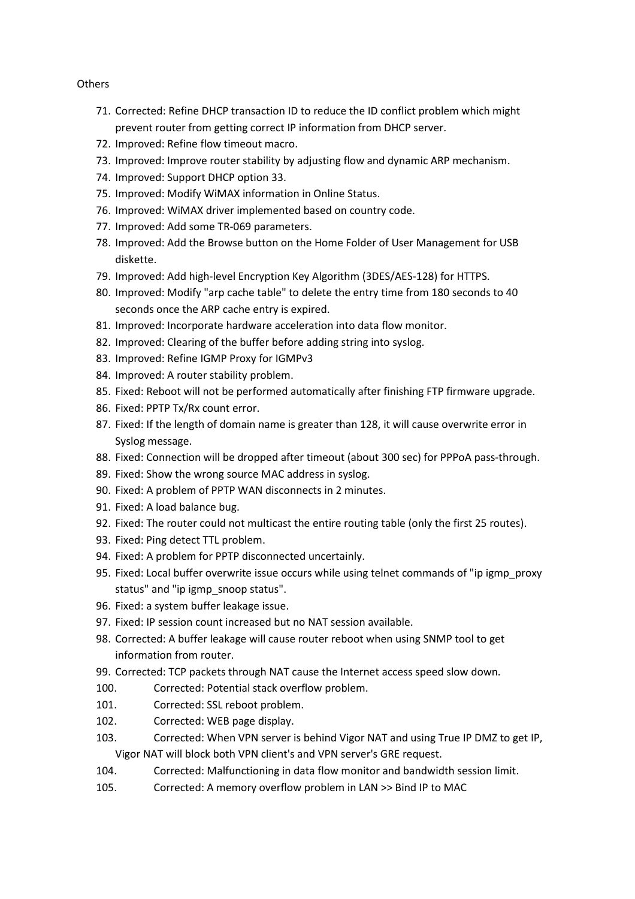# **Others**

- 71. Corrected: Refine DHCP transaction ID to reduce the ID conflict problem which might prevent router from getting correct IP information from DHCP server.
- 72. Improved: Refine flow timeout macro.
- 73. Improved: Improve router stability by adjusting flow and dynamic ARP mechanism.
- 74. Improved: Support DHCP option 33.
- 75. Improved: Modify WiMAX information in Online Status.
- 76. Improved: WiMAX driver implemented based on country code.
- 77. Improved: Add some TR-069 parameters.
- 78. Improved: Add the Browse button on the Home Folder of User Management for USB diskette.
- 79. Improved: Add high-level Encryption Key Algorithm (3DES/AES-128) for HTTPS.
- 80. Improved: Modify "arp cache table" to delete the entry time from 180 seconds to 40 seconds once the ARP cache entry is expired.
- 81. Improved: Incorporate hardware acceleration into data flow monitor.
- 82. Improved: Clearing of the buffer before adding string into syslog.
- 83. Improved: Refine IGMP Proxy for IGMPv3
- 84. Improved: A router stability problem.
- 85. Fixed: Reboot will not be performed automatically after finishing FTP firmware upgrade.
- 86. Fixed: PPTP Tx/Rx count error.
- 87. Fixed: If the length of domain name is greater than 128, it will cause overwrite error in Syslog message.
- 88. Fixed: Connection will be dropped after timeout (about 300 sec) for PPPoA pass-through.
- 89. Fixed: Show the wrong source MAC address in syslog.
- 90. Fixed: A problem of PPTP WAN disconnects in 2 minutes.
- 91. Fixed: A load balance bug.
- 92. Fixed: The router could not multicast the entire routing table (only the first 25 routes).
- 93. Fixed: Ping detect TTL problem.
- 94. Fixed: A problem for PPTP disconnected uncertainly.
- 95. Fixed: Local buffer overwrite issue occurs while using telnet commands of "ip igmp\_proxy status" and "ip igmp\_snoop status".
- 96. Fixed: a system buffer leakage issue.
- 97. Fixed: IP session count increased but no NAT session available.
- 98. Corrected: A buffer leakage will cause router reboot when using SNMP tool to get information from router.
- 99. Corrected: TCP packets through NAT cause the Internet access speed slow down.
- 100. Corrected: Potential stack overflow problem.
- 101. Corrected: SSL reboot problem.
- 102. Corrected: WEB page display.
- 103. Corrected: When VPN server is behind Vigor NAT and using True IP DMZ to get IP, Vigor NAT will block both VPN client's and VPN server's GRE request.
- 104. Corrected: Malfunctioning in data flow monitor and bandwidth session limit.
- 105. Corrected: A memory overflow problem in LAN >> Bind IP to MAC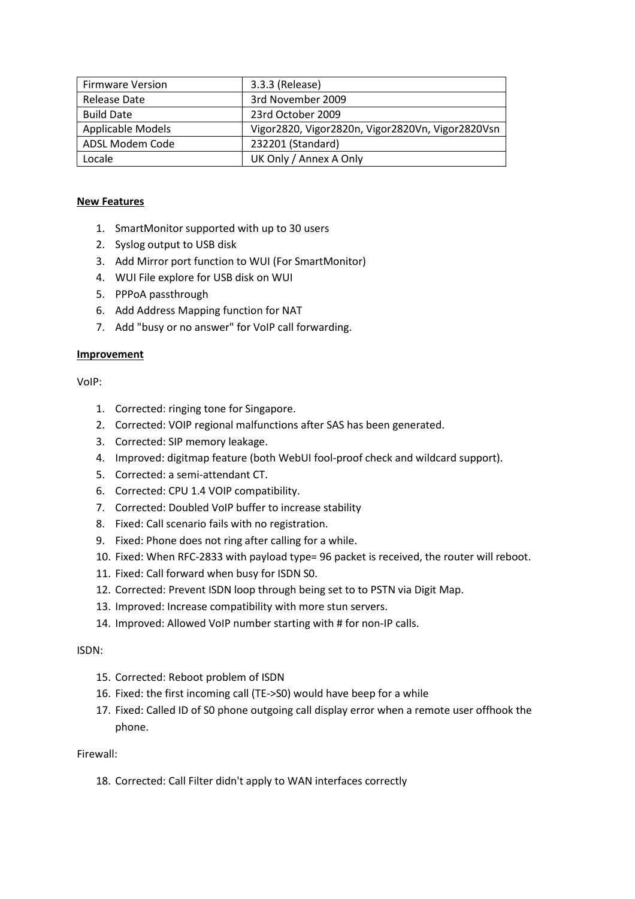| <b>Firmware Version</b>  | 3.3.3 (Release)                                  |  |
|--------------------------|--------------------------------------------------|--|
| Release Date             | 3rd November 2009                                |  |
| <b>Build Date</b>        | 23rd October 2009                                |  |
| <b>Applicable Models</b> | Vigor2820, Vigor2820n, Vigor2820Vn, Vigor2820Vsn |  |
| ADSL Modem Code          | 232201 (Standard)                                |  |
| Locale                   | UK Only / Annex A Only                           |  |

- 1. SmartMonitor supported with up to 30 users
- 2. Syslog output to USB disk
- 3. Add Mirror port function to WUI (For SmartMonitor)
- 4. WUI File explore for USB disk on WUI
- 5. PPPoA passthrough
- 6. Add Address Mapping function for NAT
- 7. Add "busy or no answer" for VoIP call forwarding.

# **Improvement**

VoIP:

- 1. Corrected: ringing tone for Singapore.
- 2. Corrected: VOIP regional malfunctions after SAS has been generated.
- 3. Corrected: SIP memory leakage.
- 4. Improved: digitmap feature (both WebUI fool-proof check and wildcard support).
- 5. Corrected: a semi-attendant CT.
- 6. Corrected: CPU 1.4 VOIP compatibility.
- 7. Corrected: Doubled VoIP buffer to increase stability
- 8. Fixed: Call scenario fails with no registration.
- 9. Fixed: Phone does not ring after calling for a while.
- 10. Fixed: When RFC-2833 with payload type= 96 packet is received, the router will reboot.
- 11. Fixed: Call forward when busy for ISDN S0.
- 12. Corrected: Prevent ISDN loop through being set to to PSTN via Digit Map.
- 13. Improved: Increase compatibility with more stun servers.
- 14. Improved: Allowed VoIP number starting with # for non-IP calls.

# ISDN:

- 15. Corrected: Reboot problem of ISDN
- 16. Fixed: the first incoming call (TE->S0) would have beep for a while
- 17. Fixed: Called ID of S0 phone outgoing call display error when a remote user offhook the phone.

# Firewall:

18. Corrected: Call Filter didn't apply to WAN interfaces correctly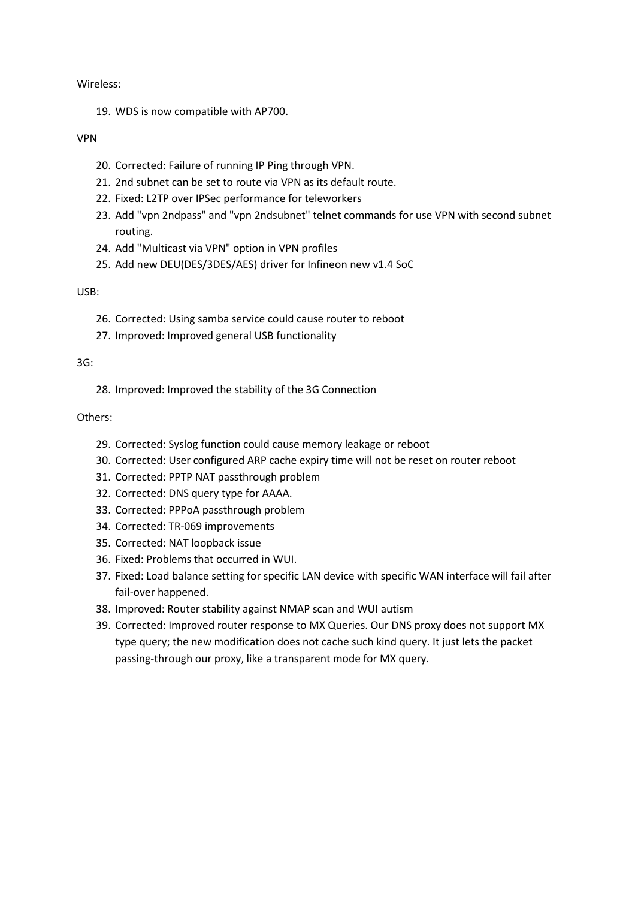#### Wireless:

19. WDS is now compatible with AP700.

# VPN

- 20. Corrected: Failure of running IP Ping through VPN.
- 21. 2nd subnet can be set to route via VPN as its default route.
- 22. Fixed: L2TP over IPSec performance for teleworkers
- 23. Add "vpn 2ndpass" and "vpn 2ndsubnet" telnet commands for use VPN with second subnet routing.
- 24. Add "Multicast via VPN" option in VPN profiles
- 25. Add new DEU(DES/3DES/AES) driver for Infineon new v1.4 SoC

# USB:

- 26. Corrected: Using samba service could cause router to reboot
- 27. Improved: Improved general USB functionality

# 3G:

28. Improved: Improved the stability of the 3G Connection

# Others:

- 29. Corrected: Syslog function could cause memory leakage or reboot
- 30. Corrected: User configured ARP cache expiry time will not be reset on router reboot
- 31. Corrected: PPTP NAT passthrough problem
- 32. Corrected: DNS query type for AAAA.
- 33. Corrected: PPPoA passthrough problem
- 34. Corrected: TR-069 improvements
- 35. Corrected: NAT loopback issue
- 36. Fixed: Problems that occurred in WUI.
- 37. Fixed: Load balance setting for specific LAN device with specific WAN interface will fail after fail-over happened.
- 38. Improved: Router stability against NMAP scan and WUI autism
- 39. Corrected: Improved router response to MX Queries. Our DNS proxy does not support MX type query; the new modification does not cache such kind query. It just lets the packet passing-through our proxy, like a transparent mode for MX query.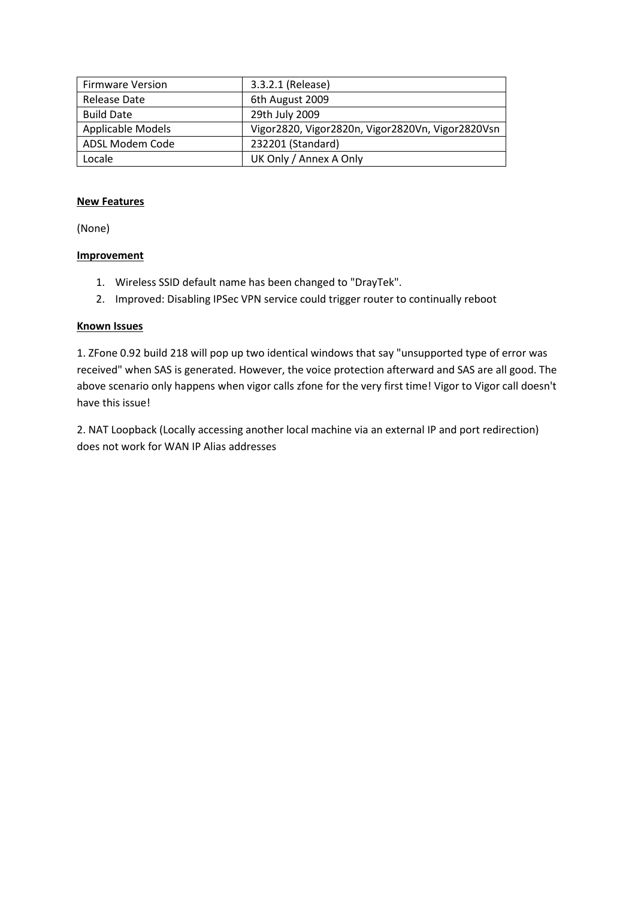| <b>Firmware Version</b>  | 3.3.2.1 (Release)                                |  |
|--------------------------|--------------------------------------------------|--|
| Release Date             | 6th August 2009                                  |  |
| <b>Build Date</b>        | 29th July 2009                                   |  |
| <b>Applicable Models</b> | Vigor2820, Vigor2820n, Vigor2820Vn, Vigor2820Vsn |  |
| ADSL Modem Code          | 232201 (Standard)                                |  |
| Locale                   | UK Only / Annex A Only                           |  |

(None)

# **Improvement**

- 1. Wireless SSID default name has been changed to "DrayTek".
- 2. Improved: Disabling IPSec VPN service could trigger router to continually reboot

# **Known Issues**

1. ZFone 0.92 build 218 will pop up two identical windows that say "unsupported type of error was received" when SAS is generated. However, the voice protection afterward and SAS are all good. The above scenario only happens when vigor calls zfone for the very first time! Vigor to Vigor call doesn't have this issue!

2. NAT Loopback (Locally accessing another local machine via an external IP and port redirection) does not work for WAN IP Alias addresses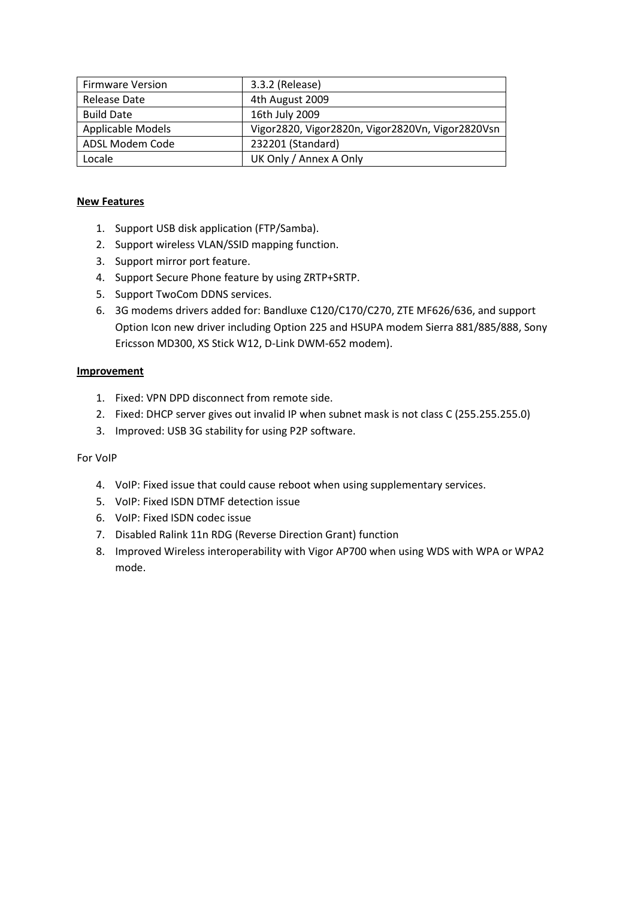| <b>Firmware Version</b> | 3.3.2 (Release)                                  |
|-------------------------|--------------------------------------------------|
| Release Date            | 4th August 2009                                  |
| <b>Build Date</b>       | 16th July 2009                                   |
| Applicable Models       | Vigor2820, Vigor2820n, Vigor2820Vn, Vigor2820Vsn |
| ADSL Modem Code         | 232201 (Standard)                                |
| Locale                  | UK Only / Annex A Only                           |

- 1. Support USB disk application (FTP/Samba).
- 2. Support wireless VLAN/SSID mapping function.
- 3. Support mirror port feature.
- 4. Support Secure Phone feature by using ZRTP+SRTP.
- 5. Support TwoCom DDNS services.
- 6. 3G modems drivers added for: Bandluxe C120/C170/C270, ZTE MF626/636, and support Option Icon new driver including Option 225 and HSUPA modem Sierra 881/885/888, Sony Ericsson MD300, XS Stick W12, D-Link DWM-652 modem).

# **Improvement**

- 1. Fixed: VPN DPD disconnect from remote side.
- 2. Fixed: DHCP server gives out invalid IP when subnet mask is not class C (255.255.255.0)
- 3. Improved: USB 3G stability for using P2P software.

# For VoIP

- 4. VoIP: Fixed issue that could cause reboot when using supplementary services.
- 5. VoIP: Fixed ISDN DTMF detection issue
- 6. VoIP: Fixed ISDN codec issue
- 7. Disabled Ralink 11n RDG (Reverse Direction Grant) function
- 8. Improved Wireless interoperability with Vigor AP700 when using WDS with WPA or WPA2 mode.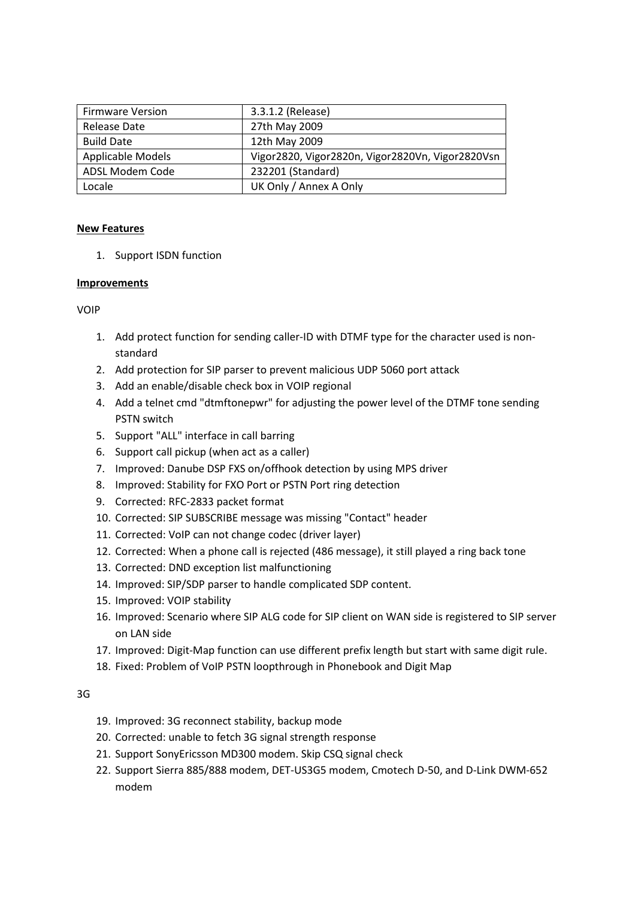| <b>Firmware Version</b> | 3.3.1.2 (Release)                                |  |
|-------------------------|--------------------------------------------------|--|
| Release Date            | 27th May 2009                                    |  |
| <b>Build Date</b>       | 12th May 2009                                    |  |
| Applicable Models       | Vigor2820, Vigor2820n, Vigor2820Vn, Vigor2820Vsn |  |
| ADSL Modem Code         | 232201 (Standard)                                |  |
| Locale                  | UK Only / Annex A Only                           |  |

1. Support ISDN function

# **Improvements**

VOIP

- 1. Add protect function for sending caller-ID with DTMF type for the character used is nonstandard
- 2. Add protection for SIP parser to prevent malicious UDP 5060 port attack
- 3. Add an enable/disable check box in VOIP regional
- 4. Add a telnet cmd "dtmftonepwr" for adjusting the power level of the DTMF tone sending PSTN switch
- 5. Support "ALL" interface in call barring
- 6. Support call pickup (when act as a caller)
- 7. Improved: Danube DSP FXS on/offhook detection by using MPS driver
- 8. Improved: Stability for FXO Port or PSTN Port ring detection
- 9. Corrected: RFC-2833 packet format
- 10. Corrected: SIP SUBSCRIBE message was missing "Contact" header
- 11. Corrected: VoIP can not change codec (driver layer)
- 12. Corrected: When a phone call is rejected (486 message), it still played a ring back tone
- 13. Corrected: DND exception list malfunctioning
- 14. Improved: SIP/SDP parser to handle complicated SDP content.
- 15. Improved: VOIP stability
- 16. Improved: Scenario where SIP ALG code for SIP client on WAN side is registered to SIP server on LAN side
- 17. Improved: Digit-Map function can use different prefix length but start with same digit rule.
- 18. Fixed: Problem of VoIP PSTN loopthrough in Phonebook and Digit Map

3G

- 19. Improved: 3G reconnect stability, backup mode
- 20. Corrected: unable to fetch 3G signal strength response
- 21. Support SonyEricsson MD300 modem. Skip CSQ signal check
- 22. Support Sierra 885/888 modem, DET-US3G5 modem, Cmotech D-50, and D-Link DWM-652 modem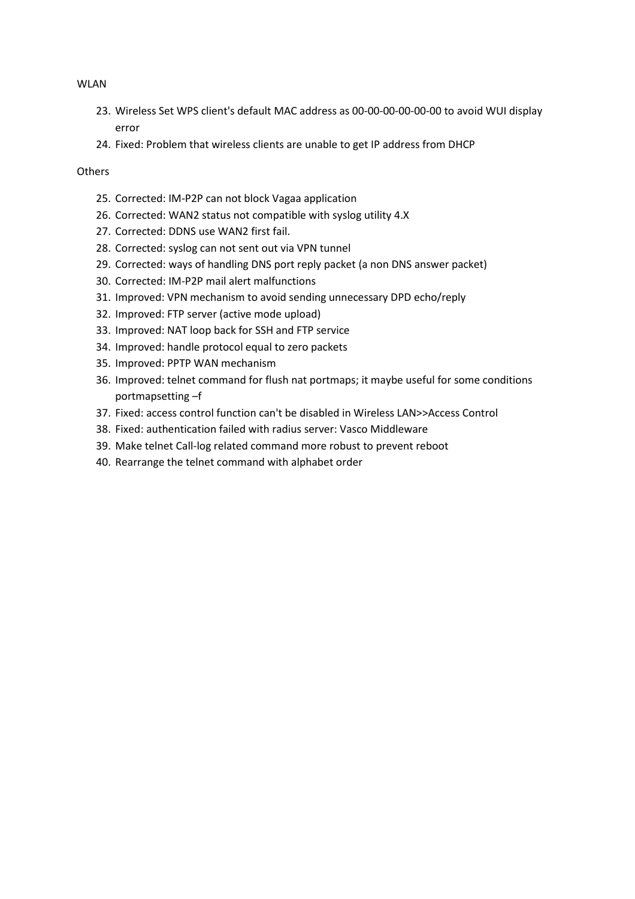#### WLAN

- 23. Wireless Set WPS client's default MAC address as 00-00-00-00-00-00 to avoid WUI display error
- 24. Fixed: Problem that wireless clients are unable to get IP address from DHCP

# **Others**

- 25. Corrected: IM-P2P can not block Vagaa application
- 26. Corrected: WAN2 status not compatible with syslog utility 4.X
- 27. Corrected: DDNS use WAN2 first fail.
- 28. Corrected: syslog can not sent out via VPN tunnel
- 29. Corrected: ways of handling DNS port reply packet (a non DNS answer packet)
- 30. Corrected: IM-P2P mail alert malfunctions
- 31. Improved: VPN mechanism to avoid sending unnecessary DPD echo/reply
- 32. Improved: FTP server (active mode upload)
- 33. Improved: NAT loop back for SSH and FTP service
- 34. Improved: handle protocol equal to zero packets
- 35. Improved: PPTP WAN mechanism
- 36. Improved: telnet command for flush nat portmaps; it maybe useful for some conditions portmapsetting –f
- 37. Fixed: access control function can't be disabled in Wireless LAN>>Access Control
- 38. Fixed: authentication failed with radius server: Vasco Middleware
- 39. Make telnet Call-log related command more robust to prevent reboot
- 40. Rearrange the telnet command with alphabet order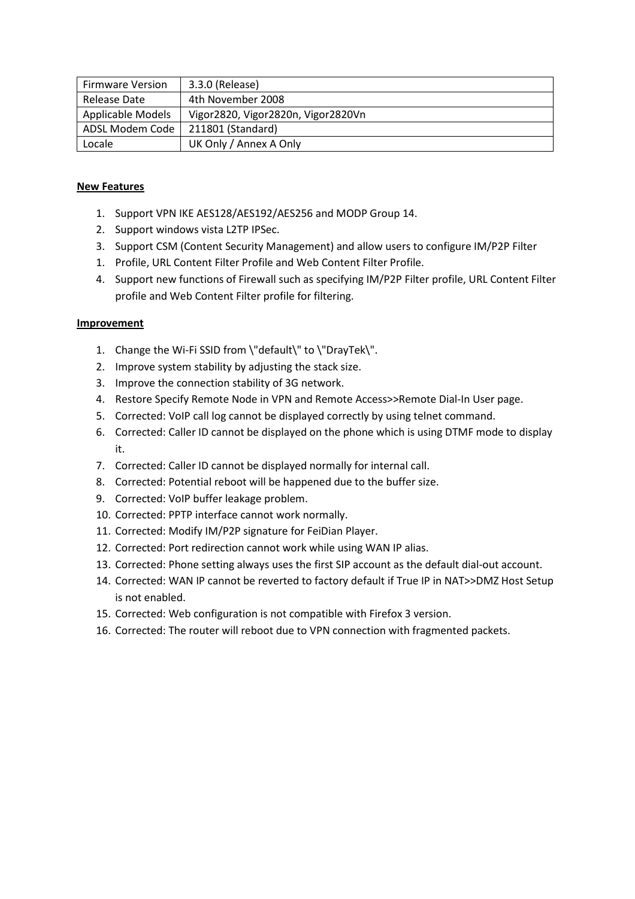| <b>Firmware Version</b>  | 3.3.0 (Release)                    |
|--------------------------|------------------------------------|
| Release Date             | 4th November 2008                  |
| <b>Applicable Models</b> | Vigor2820, Vigor2820n, Vigor2820Vn |
| ADSL Modem Code          | 211801 (Standard)                  |
| Locale                   | UK Only / Annex A Only             |

- 1. Support VPN IKE AES128/AES192/AES256 and MODP Group 14.
- 2. Support windows vista L2TP IPSec.
- 3. Support CSM (Content Security Management) and allow users to configure IM/P2P Filter
- 1. Profile, URL Content Filter Profile and Web Content Filter Profile.
- 4. Support new functions of Firewall such as specifying IM/P2P Filter profile, URL Content Filter profile and Web Content Filter profile for filtering.

- 1. Change the Wi-Fi SSID from \"default\" to \"DrayTek\".
- 2. Improve system stability by adjusting the stack size.
- 3. Improve the connection stability of 3G network.
- 4. Restore Specify Remote Node in VPN and Remote Access>>Remote Dial-In User page.
- 5. Corrected: VoIP call log cannot be displayed correctly by using telnet command.
- 6. Corrected: Caller ID cannot be displayed on the phone which is using DTMF mode to display it.
- 7. Corrected: Caller ID cannot be displayed normally for internal call.
- 8. Corrected: Potential reboot will be happened due to the buffer size.
- 9. Corrected: VoIP buffer leakage problem.
- 10. Corrected: PPTP interface cannot work normally.
- 11. Corrected: Modify IM/P2P signature for FeiDian Player.
- 12. Corrected: Port redirection cannot work while using WAN IP alias.
- 13. Corrected: Phone setting always uses the first SIP account as the default dial-out account.
- 14. Corrected: WAN IP cannot be reverted to factory default if True IP in NAT>>DMZ Host Setup is not enabled.
- 15. Corrected: Web configuration is not compatible with Firefox 3 version.
- 16. Corrected: The router will reboot due to VPN connection with fragmented packets.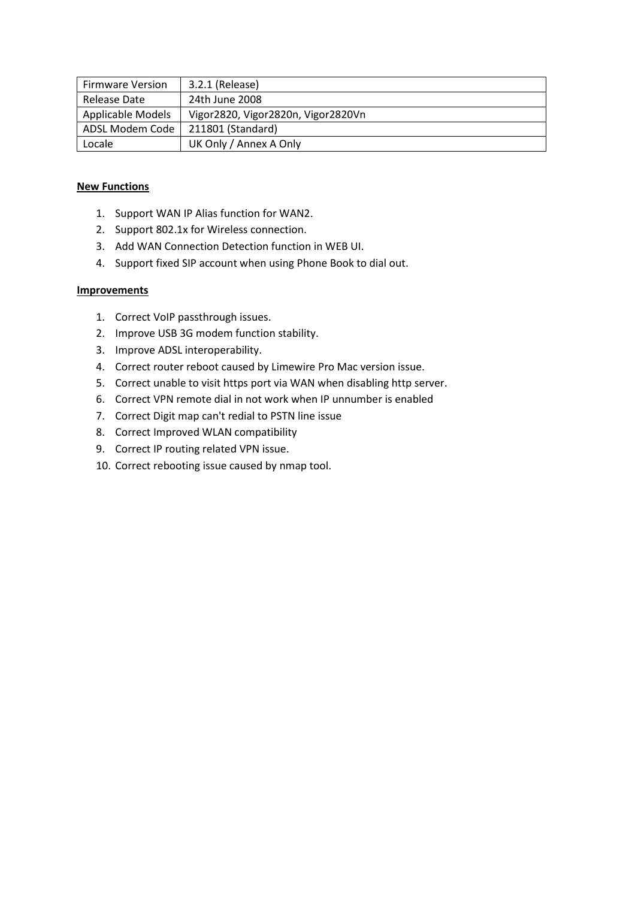| <b>Firmware Version</b>  | 3.2.1 (Release)                    |
|--------------------------|------------------------------------|
| Release Date             | 24th June 2008                     |
| <b>Applicable Models</b> | Vigor2820, Vigor2820n, Vigor2820Vn |
| ADSL Modem Code          | 211801 (Standard)                  |
| Locale                   | UK Only / Annex A Only             |

# **New Functions**

- 1. Support WAN IP Alias function for WAN2.
- 2. Support 802.1x for Wireless connection.
- 3. Add WAN Connection Detection function in WEB UI.
- 4. Support fixed SIP account when using Phone Book to dial out.

- 1. Correct VoIP passthrough issues.
- 2. Improve USB 3G modem function stability.
- 3. Improve ADSL interoperability.
- 4. Correct router reboot caused by Limewire Pro Mac version issue.
- 5. Correct unable to visit https port via WAN when disabling http server.
- 6. Correct VPN remote dial in not work when IP unnumber is enabled
- 7. Correct Digit map can't redial to PSTN line issue
- 8. Correct Improved WLAN compatibility
- 9. Correct IP routing related VPN issue.
- 10. Correct rebooting issue caused by nmap tool.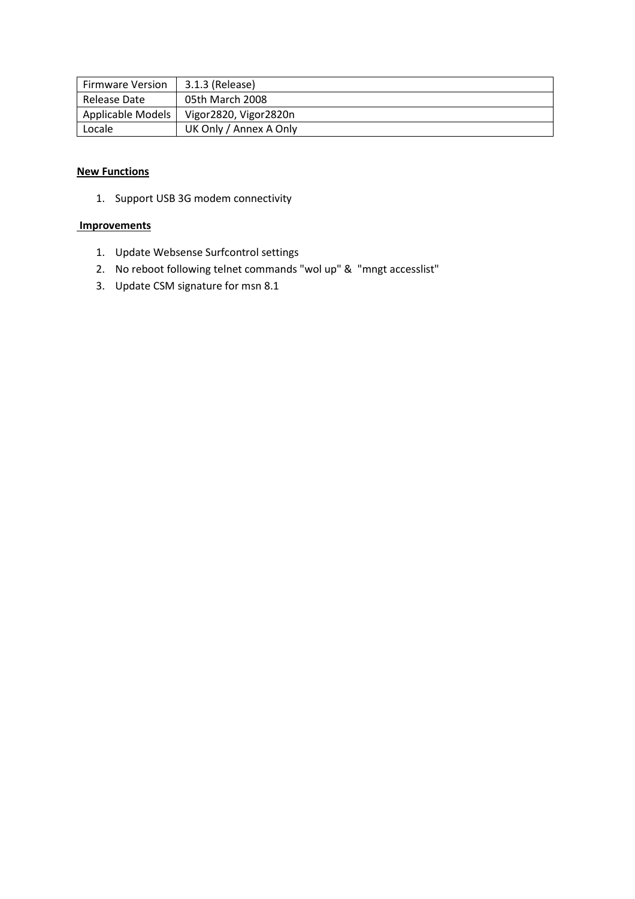| <b>Firmware Version</b> | 3.1.3 (Release)        |
|-------------------------|------------------------|
| Release Date            | 05th March 2008        |
| Applicable Models       | Vigor2820, Vigor2820n  |
| Locale                  | UK Only / Annex A Only |

# **New Functions**

1. Support USB 3G modem connectivity

- 1. Update Websense Surfcontrol settings
- 2. No reboot following telnet commands "wol up" & "mngt accesslist"
- 3. Update CSM signature for msn 8.1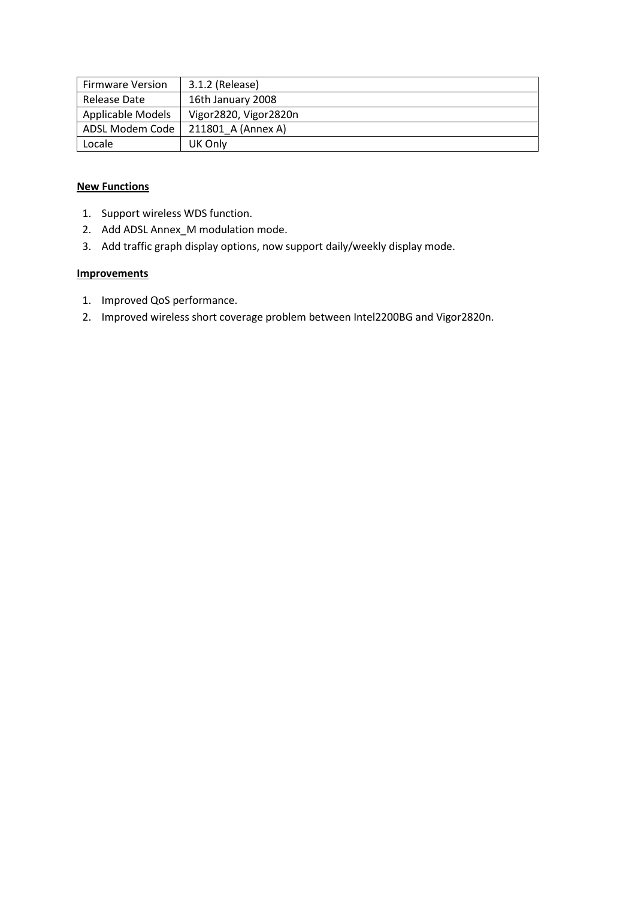| <b>Firmware Version</b> | 3.1.2 (Release)       |
|-------------------------|-----------------------|
| Release Date            | 16th January 2008     |
| Applicable Models       | Vigor2820, Vigor2820n |
| ADSL Modem Code         | 211801 A (Annex A)    |
| Locale                  | UK Only               |

# **New Functions**

- 1. Support wireless WDS function.
- 2. Add ADSL Annex\_M modulation mode.
- 3. Add traffic graph display options, now support daily/weekly display mode.

- 1. Improved QoS performance.
- 2. Improved wireless short coverage problem between Intel2200BG and Vigor2820n.